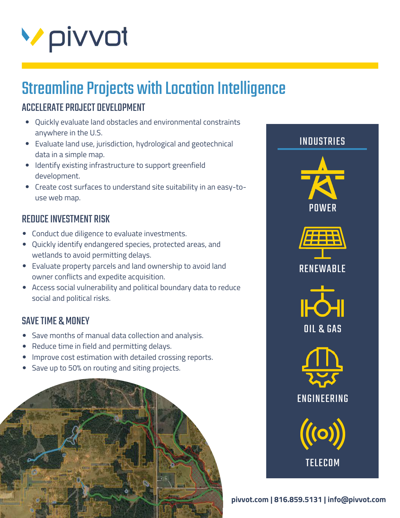

# Streamline Projects with Location Intelligence

## ACCELERATE PROJECT DEVELOPMENT

- Quickly evaluate land obstacles and environmental constraints anywhere in the U.S.
- Evaluate land use, jurisdiction, hydrological and geotechnical data in a simple map.
- Identify existing infrastructure to support greenfield development.
- Create cost surfaces to understand site suitability in an easy-touse web map.

#### REDUCE INVESTMENT RISK

- Conduct due diligence to evaluate investments.
- Quickly identify endangered species, protected areas, and wetlands to avoid permitting delays.
- Evaluate property parcels and land ownership to avoid land owner conflicts and expedite acquisition.
- Access social vulnerability and political boundary data to reduce social and political risks.

#### SAVE TIME & MONEY

- Save months of manual data collection and analysis.
- Reduce time in field and permitting delays.
- Improve cost estimation with detailed crossing reports.  $\bullet$
- Save up to 50% on routing and siting projects.





**pivvot.com | 816.859.5131 | info@pivvot.com**